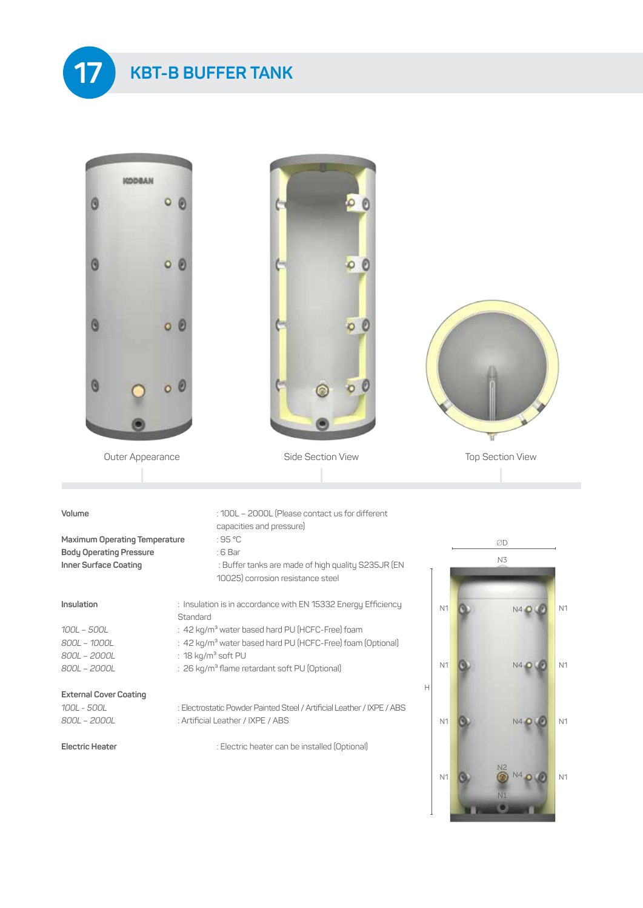



*100L - 500L* : Electrostatic Powder Painted Steel / Artificial Leather / IXPE / ABS *800L – 2000L* : Artificial Leather / IXPE / ABS

**Electric Heater** : Electric heater can be installed (Optional)